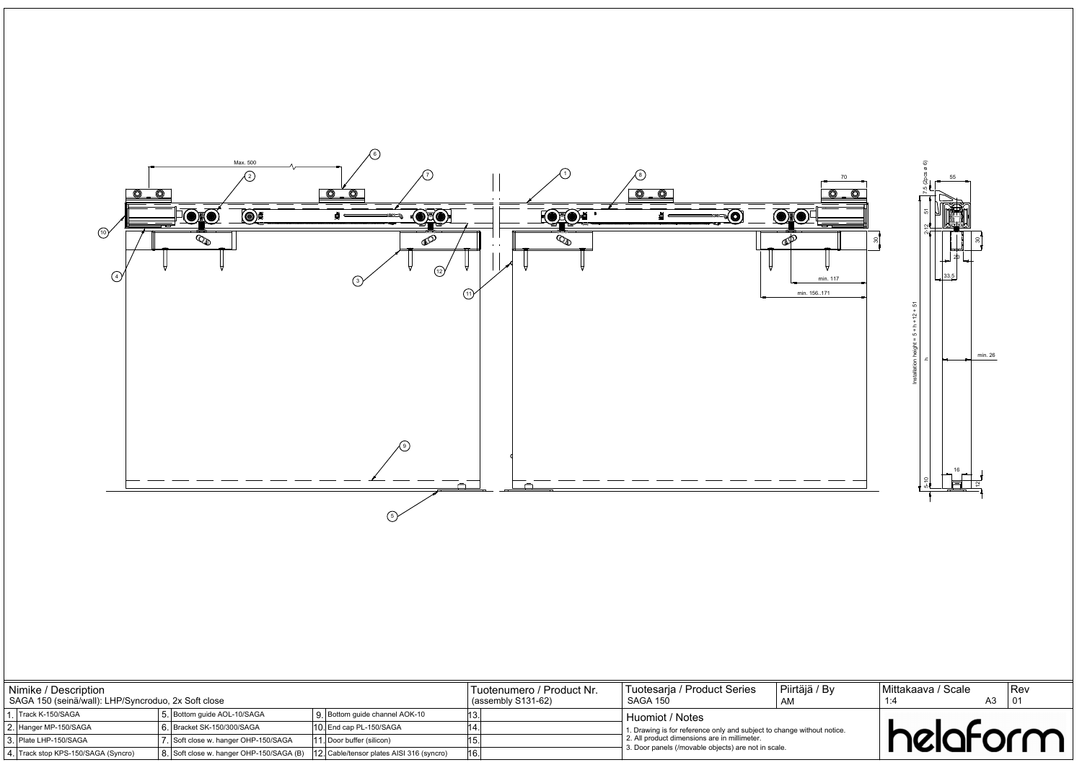

| Nimike / Description<br>SAGA 150 (seinä/wall): LHP/Syncroduo, 2x Soft close |                                     |  |                                          |  |                                           |     | <sup>1</sup> Tuotenumero / Product Nr.<br>$(assembly S131-62)$ | Tuotesarja / Product Series<br><b>SAGA 150</b>                | Piirtäjä<br>AM |  |
|-----------------------------------------------------------------------------|-------------------------------------|--|------------------------------------------|--|-------------------------------------------|-----|----------------------------------------------------------------|---------------------------------------------------------------|----------------|--|
|                                                                             | 1. Track K-150/SAGA                 |  | 5. Bottom guide AOL-10/SAGA              |  | 9. Bottom guide channel AOK-10            |     |                                                                | Huomiot / Notes                                               |                |  |
|                                                                             | 2. Hanger MP-150/SAGA               |  | 6. Bracket SK-150/300/SAGA               |  | 10. End cap PL-150/SAGA                   |     |                                                                | 1. Drawing is for reference only and subject to change wither |                |  |
|                                                                             | 3. Plate LHP-150/SAGA               |  | Soft close w. hanger OHP-150/SAGA        |  | 11. Door buffer (silicon)                 |     |                                                                | 2. All product dimensions are in millimeter.                  |                |  |
|                                                                             | 4. Track stop KPS-150/SAGA (Syncro) |  | 8. Soft close w. hanger OHP-150/SAGA (B) |  | 12. Cable/tensor plates AISI 316 (syncro) | 16. |                                                                | 3. Door panels (/movable objects) are not in scale.           |                |  |